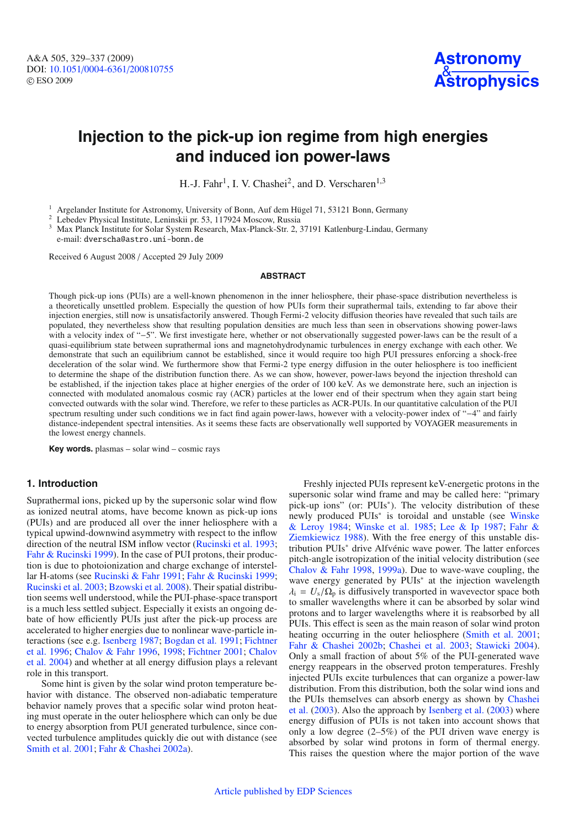

# **Injection to the pick-up ion regime from high energies and induced ion power-laws**

H.-J. Fahr<sup>1</sup>, I. V. Chashei<sup>2</sup>, and D. Verscharen<sup>1,3</sup>

<sup>1</sup> Argelander Institute for Astronomy, University of Bonn, Auf dem Hügel 71, 53121 Bonn, Germany<br><sup>2</sup> Lebedev Physical Institute, Leninskii pr. 53, 117924 Moscow, Russia<br><sup>3</sup> Max Planck Institute for Solar System Research,

e-mail: dverscha@astro.uni-bonn.de

Received 6 August 2008 / Accepted 29 July 2009

#### **ABSTRACT**

Though pick-up ions (PUIs) are a well-known phenomenon in the inner heliosphere, their phase-space distribution nevertheless is a theoretically unsettled problem. Especially the question of how PUIs form their suprathermal tails, extending to far above their injection energies, still now is unsatisfactorily answered. Though Fermi-2 velocity diffusion theories have revealed that such tails are populated, they nevertheless show that resulting population densities are much less than seen in observations showing power-laws with a velocity index of "−5". We first investigate here, whether or not observationally suggested power-laws can be the result of a quasi-equilibrium state between suprathermal ions and magnetohydrodynamic turbulences in energy exchange with each other. We demonstrate that such an equilibrium cannot be established, since it would require too high PUI pressures enforcing a shock-free deceleration of the solar wind. We furthermore show that Fermi-2 type energy diffusion in the outer heliosphere is too inefficient to determine the shape of the distribution function there. As we can show, however, power-laws beyond the injection threshold can be established, if the injection takes place at higher energies of the order of 100 keV. As we demonstrate here, such an injection is connected with modulated anomalous cosmic ray (ACR) particles at the lower end of their spectrum when they again start being convected outwards with the solar wind. Therefore, we refer to these particles as ACR-PUIs. In our quantitative calculation of the PUI spectrum resulting under such conditions we in fact find again power-laws, however with a velocity-power index of "−4" and fairly distance-independent spectral intensities. As it seems these facts are observationally well supported by VOYAGER measurements in the lowest energy channels.

**Key words.** plasmas – solar wind – cosmic rays

## **1. Introduction**

Suprathermal ions, picked up by the supersonic solar wind flow as ionized neutral atoms, have become known as pick-up ions (PUIs) and are produced all over the inner heliosphere with a typical upwind-downwind asymmetry with respect to the inflow direction of the neutral ISM inflow vector [\(Rucinski et al. 1993](#page-8-0); [Fahr & Rucinski 1999](#page-8-1)). In the case of PUI protons, their production is due to photoionization and charge exchange of interstellar H-atoms (see [Rucinski & Fahr 1991](#page-8-2); [Fahr & Rucinski 1999](#page-8-1); [Rucinski et al. 2003](#page-8-3); [Bzowski et al. 2008\)](#page-8-4). Their spatial distribution seems well understood, while the PUI-phase-space transport is a much less settled subject. Especially it exists an ongoing debate of how efficiently PUIs just after the pick-up process are accelerated to higher energies due to nonlinear wave-particle interactions (see e.g. [Isenberg 1987;](#page-8-5) [Bogdan et al. 1991](#page-8-6)[;](#page-8-7) Fichtner et al. [1996](#page-8-7); [Chalov & Fahr 1996](#page-8-8)[,](#page-8-11) [1998;](#page-8-9) [Fichtner 2001;](#page-8-10) Chalov et al. [2004\)](#page-8-11) and whether at all energy diffusion plays a relevant role in this transport.

Some hint is given by the solar wind proton temperature behavior with distance. The observed non-adiabatic temperature behavior namely proves that a specific solar wind proton heating must operate in the outer heliosphere which can only be due to energy absorption from PUI generated turbulence, since convected turbulence amplitudes quickly die out with distance (see [Smith et al. 2001;](#page-8-12) [Fahr & Chashei 2002a\)](#page-8-13).

Freshly injected PUIs represent keV-energetic protons in the supersonic solar wind frame and may be called here: "primary pick-up ions" (or: PUIs∗). The velocity distribution of these newly produced PUIs<sup>∗</sup> [is toroidal and unstable \(see](#page-8-14) Winske & Leroy [1984](#page-8-14); [Winske et al. 1985](#page-8-15)[;](#page-8-17) [Lee & Ip 1987;](#page-8-16) Fahr & Ziemkiewicz [1988](#page-8-17)). With the free energy of this unstable distribution PUIs<sup>∗</sup> drive Alfvénic wave power. The latter enforces pitch-angle isotropization of the initial velocity distribution (see [Chalov & Fahr 1998](#page-8-9), [1999a](#page-8-18)). Due to wave-wave coupling, the wave energy generated by PUIs<sup>\*</sup> at the injection wavelength  $\lambda_i = U_s/\Omega_p$  is diffusively transported in wavevector space both to smaller wavelengths where it can be absorbed by solar wind protons and to larger wavelengths where it is reabsorbed by all PUIs. This effect is seen as the main reason of solar wind proton heating occurring in the outer heliosphere [\(Smith et al. 2001](#page-8-12); [Fahr & Chashei 2002b](#page-8-19); [Chashei et al. 2003](#page-8-20); [Stawicki 2004](#page-8-21)). Only a small fraction of about 5% of the PUI-generated wave energy reappears in the observed proton temperatures. Freshly injected PUIs excite turbulences that can organize a power-law distribution. From this distribution, both the solar wind ions and the [PUIs themselves can absorb energy as shown by](#page-8-20) Chashei et al. [\(2003\)](#page-8-20). Also the approach by [Isenberg et al.](#page-8-22) [\(2003\)](#page-8-22) where energy diffusion of PUIs is not taken into account shows that only a low degree  $(2-5\%)$  of the PUI driven wave energy is absorbed by solar wind protons in form of thermal energy. This raises the question where the major portion of the wave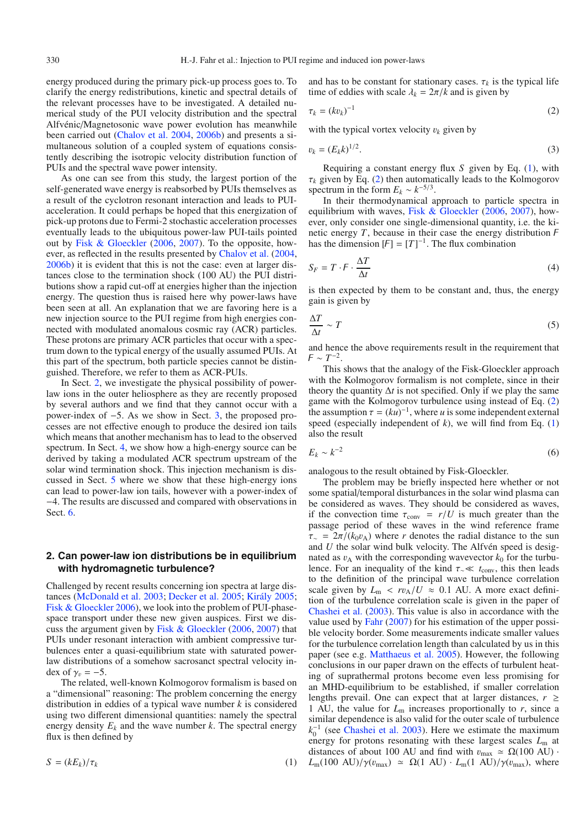energy produced during the primary pick-up process goes to. To clarify the energy redistributions, kinetic and spectral details of the relevant processes have to be investigated. A detailed numerical study of the PUI velocity distribution and the spectral Alfvénic/Magnetosonic wave power evolution has meanwhile been carried out [\(Chalov et al. 2004](#page-8-11), [2006b\)](#page-8-23) and presents a simultaneous solution of a coupled system of equations consistently describing the isotropic velocity distribution function of PUIs and the spectral wave power intensity.

As one can see from this study, the largest portion of the self-generated wave energy is reabsorbed by PUIs themselves as a result of the cyclotron resonant interaction and leads to PUIacceleration. It could perhaps be hoped that this energization of pick-up protons due to Fermi-2 stochastic acceleration processes eventually leads to the ubiquitous power-law PUI-tails pointed out by [Fisk & Gloeckler](#page-8-24) [\(2006](#page-8-24), [2007](#page-8-25)). To the opposite, however, as reflected in the results presented by [Chalov et al.](#page-8-11) [\(2004,](#page-8-11) [2006b](#page-8-23)) it is evident that this is not the case: even at larger distances close to the termination shock (100 AU) the PUI distributions show a rapid cut-off at energies higher than the injection energy. The question thus is raised here why power-laws have been seen at all. An explanation that we are favoring here is a new injection source to the PUI regime from high energies connected with modulated anomalous cosmic ray (ACR) particles. These protons are primary ACR particles that occur with a spectrum down to the typical energy of the usually assumed PUIs. At this part of the spectrum, both particle species cannot be distinguished. Therefore, we refer to them as ACR-PUIs.

In Sect. [2,](#page-1-0) we investigate the physical possibility of powerlaw ions in the outer heliosphere as they are recently proposed by several authors and we find that they cannot occur with a power-index of −5. As we show in Sect. [3,](#page-4-0) the proposed processes are not effective enough to produce the desired ion tails which means that another mechanism has to lead to the observed spectrum. In Sect. [4,](#page-5-0) we show how a high-energy source can be derived by taking a modulated ACR spectrum upstream of the solar wind termination shock. This injection mechanism is discussed in Sect. [5](#page-6-0) where we show that these high-energy ions can lead to power-law ion tails, however with a power-index of −4. The results are discussed and compared with observations in Sect. [6.](#page-7-0)

## <span id="page-1-0"></span>**2. Can power-law ion distributions be in equilibrium with hydromagnetic turbulence?**

<span id="page-1-1"></span>Challenged by recent results concerning ion spectra at large distances [\(McDonald et al. 2003](#page-8-26); [Decker et al. 2005;](#page-8-27) [Király 2005](#page-8-28); [Fisk & Gloeckler 2006\)](#page-8-24), we look into the problem of PUI-phasespace transport under these new given auspices. First we discuss the argument given by [Fisk & Gloeckler](#page-8-24) [\(2006,](#page-8-24) [2007](#page-8-25)) that PUIs under resonant interaction with ambient compressive turbulences enter a quasi-equilibrium state with saturated powerlaw distributions of a somehow sacrosanct spectral velocity index of  $\gamma_v = -5$ .

The related, well-known Kolmogorov formalism is based on a "dimensional" reasoning: The problem concerning the energy distribution in eddies of a typical wave number *k* is considered using two different dimensional quantities: namely the spectral energy density  $E_k$  and the wave number  $k$ . The spectral energy flux is then defined by

$$
S = (kE_k)/\tau_k \tag{1}
$$

<span id="page-1-2"></span>and has to be constant for stationary cases.  $\tau_k$  is the typical life time of eddies with scale  $\lambda_k = 2\pi/k$  and is given by

$$
\tau_k = (kv_k)^{-1} \tag{2}
$$

with the typical vortex velocity  $v_k$  given by

$$
v_k = (E_k k)^{1/2}.
$$
 (3)

Requiring a constant energy flux *S* given by Eq. [\(1\)](#page-1-1), with  $\tau_k$  given by Eq. [\(2\)](#page-1-2) then automatically leads to the Kolmogorov spectrum in the form  $E_k \sim k^{-5/3}$ .

In their thermodynamical approach to particle spectra in equilibrium with waves, [Fisk & Gloeckler](#page-8-24) [\(2006,](#page-8-24) [2007](#page-8-25)), however, only consider one single-dimensional quantity, i.e. the kinetic energy  $T$ , because in their case the energy distribution  $F$ has the dimension  $[F] = [T]^{-1}$ . The flux combination

$$
S_F = T \cdot F \cdot \frac{\Delta T}{\Delta t} \tag{4}
$$

is then expected by them to be constant and, thus, the energy gain is given by

$$
\frac{\Delta T}{\Delta t} \sim T \tag{5}
$$

and hence the above requirements result in the requirement that  $F \sim T^{-2}$ .

This shows that the analogy of the Fisk-Gloeckler approach with the Kolmogorov formalism is not complete, since in their theory the quantity  $\Delta t$  is not specified. Only if we play the same game with the Kolmogorov turbulence using instead of Eq. [\(2\)](#page-1-2) the assumption  $\tau = (ku)^{-1}$ , where *u* is some independent external speed (especially independent of  $k$ ), we will find from Eq.  $(1)$ also the result

$$
E_k \sim k^{-2} \tag{6}
$$

analogous to the result obtained by Fisk-Gloeckler.

The problem may be briefly inspected here whether or not some spatial/temporal disturbances in the solar wind plasma can be considered as waves. They should be considered as waves, if the convection time  $\tau_{\text{conv}} = r/U$  is much greater than the passage period of these waves in the wind reference frame  $\tau$  = 2π/( $k_0v_A$ ) where *r* denotes the radial distance to the sun and *U* the solar wind bulk velocity. The Alfvén speed is designated as  $v_A$  with the corresponding wavevector  $k_0$  for the turbulence. For an inequality of the kind  $τ$ <sub>∼</sub> *t*<sub>conv</sub>, this then leads to the definition of the principal wave turbulence correlation scale given by  $L_m < r v_A/U \approx 0.1$  AU. A more exact definition of the turbulence correlation scale is given in the paper of [Chashei et al.](#page-8-20) [\(2003](#page-8-20)). This value is also in accordance with the value used by [Fahr](#page-8-29) [\(2007\)](#page-8-29) for his estimation of the upper possible velocity border. Some measurements indicate smaller values for the turbulence correlation length than calculated by us in this paper (see e.g. [Matthaeus et al. 2005\)](#page-8-30). However, the following conclusions in our paper drawn on the effects of turbulent heating of suprathermal protons become even less promising for an MHD-equilibrium to be established, if smaller correlation lengths prevail. One can expect that at larger distances,  $r \geq$ 1 AU, the value for  $L_m$  increases proportionally to  $r$ , since a similar dependence is also valid for the outer scale of turbulence  $k_0$ <sup>-1</sup> (see [Chashei et al. 2003](#page-8-20)). Here we estimate the maximum energy for protons resonating with these largest scales *L*<sup>m</sup> at distances of about 100 AU and find with  $v_{\text{max}} \approx \Omega(100 \text{ AU})$ .  $L_m(100 \text{ AU})/\gamma(v_{\text{max}}) \simeq \Omega(1 \text{ AU}) \cdot L_m(1 \text{ AU})/\gamma(v_{\text{max}})$ , where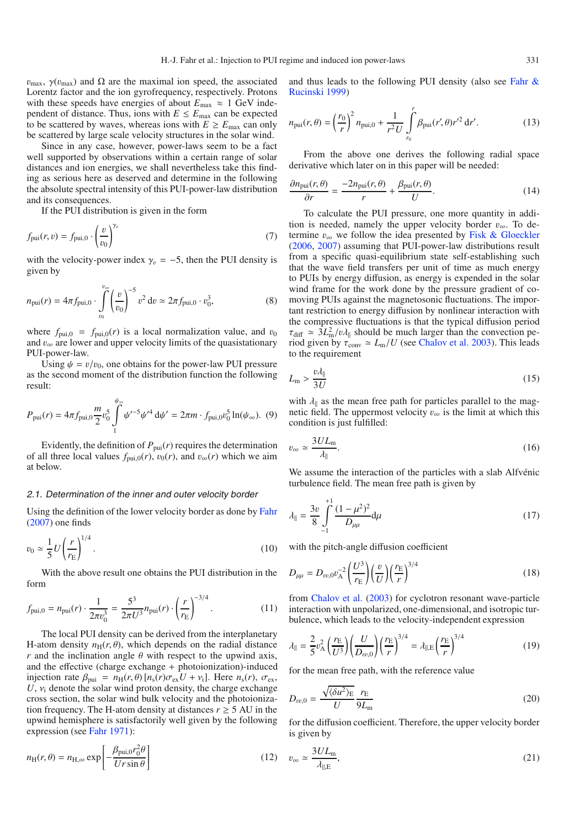$v_{\text{max}}$ ,  $\gamma(v_{\text{max}})$  and  $\Omega$  are the maximal ion speed, the associated Lorentz factor and the ion gyrofrequency, respectively. Protons with these speeds have energies of about  $E_{\text{max}} \approx 1 \text{ GeV}$  independent of distance. Thus, ions with  $E \le E_{\text{max}}$  can be expected to be scattered by waves, whereas ions with  $E \ge E_{\text{max}}$  can only be scattered by large scale velocity structures in the solar wind.

Since in any case, however, power-laws seem to be a fact well supported by observations within a certain range of solar distances and ion energies, we shall nevertheless take this finding as serious here as deserved and determine in the following the absolute spectral intensity of this PUI-power-law distribution and its consequences.

If the PUI distribution is given in the form

$$
f_{\text{pui}}(r, v) = f_{\text{pui},0} \cdot \left(\frac{v}{v_0}\right)^{\gamma_v}
$$
\n<sup>(7)</sup>

<span id="page-2-0"></span>with the velocity-power index  $\gamma_v = -5$ , then the PUI density is given by

$$
n_{\text{pui}}(r) = 4\pi f_{\text{pui},0} \cdot \int_{v_0}^{v_{\infty}} \left(\frac{v}{v_0}\right)^{-5} v^2 dv \simeq 2\pi f_{\text{pui},0} \cdot v_0^3,\tag{8}
$$

where  $f_{\text{pui},0} = f_{\text{pui},0}(r)$  is a local normalization value, and  $v_0$ and  $v_{\infty}$  are lower and upper velocity limits of the quasistationary PUI-power-law.

Using  $\psi = v/v_0$ , one obtains for the power-law PUI pressure as the second moment of the distribution function the following result:

$$
P_{\text{pui}}(r) = 4\pi f_{\text{pui},0} \frac{m}{2} v_0^5 \int_{1}^{\psi_{\infty}} \psi'^{-5} \psi'^4 \, \mathrm{d}\psi' = 2\pi m \cdot f_{\text{pui},0} v_0^5 \ln(\psi_{\infty}). \tag{9}
$$

<span id="page-2-1"></span>Evidently, the definition of  $P_{\text{pui}}(r)$  requires the determination of all three local values  $f_{\text{pui},0}(r)$ ,  $v_0(r)$ , and  $v_{\infty}(r)$  which we aim at below.

#### 2.1. Determination of the inner and outer velocity border

Using the definition of the lower velocity border as done by [Fahr](#page-8-29) [\(2007\)](#page-8-29) one finds

$$
v_0 \simeq \frac{1}{5} U \left(\frac{r}{r_{\rm E}}\right)^{1/4}.\tag{10}
$$

With the above result one obtains the PUI distribution in the form

$$
f_{\text{pui},0} = n_{\text{pui}}(r) \cdot \frac{1}{2\pi v_0^3} = \frac{5^3}{2\pi U^3} n_{\text{pui}}(r) \cdot \left(\frac{r}{r_{\text{E}}}\right)^{-3/4}.
$$
 (11)

The local PUI density can be derived from the interplanetary H-atom density  $n_H(r, \theta)$ , which depends on the radial distance *r* and the inclination angle  $\theta$  with respect to the upwind axis, and the effective (charge exchange + photoionization)-induced injection rate  $\beta_{\text{pui}} = n_{\text{H}}(r, \theta) [n_{\text{s}}(r)\sigma_{\text{ex}}U + v_{\text{i}}]$ . Here  $n_{\text{s}}(r)$ ,  $\sigma_{\text{ex}}$ ,  $U, v_i$  denote the solar wind proton density, the charge exchange cross section, the solar wind bulk velocity and the photoionization frequency. The H-atom density at distances  $r \geq 5$  AU in the upwind hemisphere is satisfactorily well given by the following expression (see [Fahr 1971](#page-8-31)):

$$
n_{\rm H}(r,\theta) = n_{\rm H,\infty} \exp\left[-\frac{\beta_{\rm pui,0}r_0^2\theta}{Ur\sin\theta}\right]
$$
 (12)

<span id="page-2-2"></span>and thus [leads to the following PUI density \(also see](#page-8-1) Fahr & Rucinski [1999\)](#page-8-1)

$$
n_{\text{pui}}(r,\theta) = \left(\frac{r_0}{r}\right)^2 n_{\text{pui},0} + \frac{1}{r^2 U} \int_{r_0}^r \beta_{\text{pui}}(r',\theta) r'^2 \, \text{d}r'.\tag{13}
$$

From the above one derives the following radial space derivative which later on in this paper will be needed:

$$
\frac{\partial n_{\text{pui}}(r,\theta)}{\partial r} = \frac{-2n_{\text{pui}}(r,\theta)}{r} + \frac{\beta_{\text{pui}}(r,\theta)}{U}.
$$
\n(14)

To calculate the PUI pressure, one more quantity in addition is needed, namely the upper velocity border  $v_{\infty}$ . To determine  $v_{\infty}$  we follow the idea presented by [Fisk & Gloeckler](#page-8-24) [\(2006](#page-8-24), [2007](#page-8-25)) assuming that PUI-power-law distributions result from a specific quasi-equilibrium state self-establishing such that the wave field transfers per unit of time as much energy to PUIs by energy diffusion, as energy is expended in the solar wind frame for the work done by the pressure gradient of comoving PUIs against the magnetosonic fluctuations. The important restriction to energy diffusion by nonlinear interaction with the compressive fluctuations is that the typical diffusion period  $\tau_{\text{diff}} \simeq 3L_{\text{m}}^2/v\lambda_{\parallel}$  should be much larger than the convection period given by  $\tau_{\text{conv}} \simeq L_{\text{m}}/U$  (see [Chalov et al. 2003\)](#page-8-32). This leads to the requirement

$$
L_{\rm m} > \frac{v\lambda_{\parallel}}{3U} \tag{15}
$$

with  $\lambda_{\parallel}$  as the mean free path for particles parallel to the magnetic field. The uppermost velocity  $v_{\infty}$  is the limit at which this condition is just fulfilled:

$$
v_{\infty} \simeq \frac{3UL_{\rm m}}{\lambda_{\parallel}}.\tag{16}
$$

We assume the interaction of the particles with a slab Alfvénic turbulence field. The mean free path is given by

$$
\lambda_{\parallel} = \frac{3v}{8} \int_{-1}^{+1} \frac{(1 - \mu^2)^2}{D_{\mu\mu}} d\mu \tag{17}
$$

with the pitch-angle diffusion coefficient

$$
D_{\mu\mu} = D_{vv,0}v_A^{-2} \left(\frac{U^3}{r_E}\right) \left(\frac{v}{U}\right) \left(\frac{r_E}{r}\right)^{3/4} \tag{18}
$$

from [Chalov et al.](#page-8-32) [\(2003\)](#page-8-32) for cyclotron resonant wave-particle interaction with unpolarized, one-dimensional, and isotropic turbulence, which leads to the velocity-independent expression

$$
\lambda_{\parallel} = \frac{2}{5} v_{\rm A}^2 \left( \frac{r_{\rm E}}{U^3} \right) \left( \frac{U}{D_{\nu\nu,0}} \right) \left( \frac{r_{\rm E}}{r} \right)^{3/4} = \lambda_{\parallel,\rm E} \left( \frac{r_{\rm E}}{r} \right)^{3/4} \tag{19}
$$

for the mean free path, with the reference value

$$
D_{vv,0} = \frac{\sqrt{\langle \delta u^2 \rangle_{\rm E}}}{U} \frac{r_{\rm E}}{9L_{\rm m}}
$$
(20)

for the diffusion coefficient. Therefore, the upper velocity border is given by

$$
v_{\infty} \simeq \frac{3UL_{\rm m}}{\lambda_{\rm ||,E}},\tag{21}
$$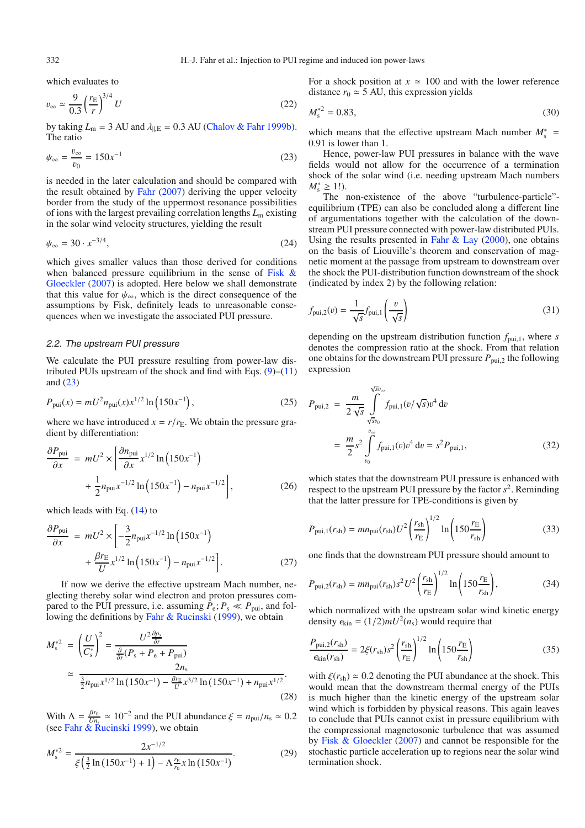<span id="page-3-0"></span>which evaluates to

$$
v_{\infty} \simeq \frac{9}{0.3} \left(\frac{r_{\rm E}}{r}\right)^{3/4} U \tag{22}
$$

by taking  $L_m = 3$  AU and  $\lambda_{\parallel,E} = 0.3$  AU [\(Chalov & Fahr 1999b](#page-8-33)). The ratio

$$
\psi_{\infty} = \frac{v_{\infty}}{v_0} = 150x^{-1}
$$
\n(23)

is needed in the later calculation and should be compared with the result obtained by [Fahr](#page-8-29) [\(2007\)](#page-8-29) deriving the upper velocity border from the study of the uppermost resonance possibilities of ions with the largest prevailing correlation lengths *L*<sup>m</sup> existing in the solar wind velocity structures, yielding the result

$$
\psi_{\infty} = 30 \cdot x^{-3/4},\tag{24}
$$

which gives smaller values than those derived for conditions when bal[anced](#page-8-25) [pressure](#page-8-25) [equilibrium](#page-8-25) [in](#page-8-25) [the](#page-8-25) [sense](#page-8-25) [of](#page-8-25) Fisk & Gloeckler [\(2007](#page-8-25)) is adopted. Here below we shall demonstrate that this value for  $\psi_{\infty}$ , which is the direct consequence of the assumptions by Fisk, definitely leads to unreasonable consequences when we investigate the associated PUI pressure.

## 2.2. The upstream PUI pressure

We calculate the PUI pressure resulting from power-law distributed PUIs upstream of the shock and find with Eqs.  $(9)$ – $(11)$ and [\(23\)](#page-3-0)

$$
P_{\text{pui}}(x) = mU^2 n_{\text{pui}}(x) x^{1/2} \ln(150x^{-1}), \qquad (25)
$$

where we have introduced  $x = r/r_E$ . We obtain the pressure gradient by differentiation:

$$
\frac{\partial P_{\text{pui}}}{\partial x} = mU^2 \times \left[ \frac{\partial n_{\text{pui}}}{\partial x} x^{1/2} \ln \left( 150x^{-1} \right) + \frac{1}{2} n_{\text{pui}} x^{-1/2} \ln \left( 150x^{-1} \right) - n_{\text{pui}} x^{-1/2} \right],\tag{26}
$$

which leads with Eq.  $(14)$  to

$$
\frac{\partial P_{\text{pui}}}{\partial x} = mU^2 \times \left[ -\frac{3}{2} n_{\text{pui}} x^{-1/2} \ln \left( 150 x^{-1} \right) + \frac{\beta r_{\text{E}}}{U} x^{1/2} \ln \left( 150 x^{-1} \right) - n_{\text{pui}} x^{-1/2} \right].
$$
\n(27)

If now we derive the effective upstream Mach number, neglecting thereby solar wind electron and proton pressures compared to the PUI pressure, i.e. assuming  $P_e$ ;  $P_s \ll P_{\text{pui}}$ , and following the definitions by [Fahr & Rucinski](#page-8-1) [\(1999\)](#page-8-1), we obtain

$$
M_{\rm s}^{*2} = \left(\frac{U}{C_{\rm s}^*}\right)^2 = \frac{U^2 \frac{\partial \rho_{\rm s}}{\partial r}}{\frac{\partial}{\partial r}(P_{\rm s} + P_{\rm e} + P_{\rm pui})}
$$
  
 
$$
\approx \frac{2n_{\rm s}}{\frac{3}{2}n_{\rm pui}x^{1/2}\ln\left(150x^{-1}\right) - \frac{\rho_{\rm re}}{U}x^{3/2}\ln\left(150x^{-1}\right) + n_{\rm pui}x^{1/2}}.
$$
 (28)

With  $\Lambda = \frac{\beta r_0}{U n_s} \approx 10^{-2}$  and the PUI abundance  $\xi = n_{\text{pui}}/n_s \approx 0.2$ (see [Fahr & Rucinski 1999\)](#page-8-1), we obtain

$$
M_s^{*2} = \frac{2x^{-1/2}}{\xi\left(\frac{3}{2}\ln\left(150x^{-1}\right) + 1\right) - \Lambda_{r_0}^{\frac{r_E}{r_0}}x\ln\left(150x^{-1}\right)}.\tag{29}
$$

For a shock position at  $x \approx 100$  and with the lower reference distance  $r_0 \approx 5$  AU, this expression yields

$$
M_s^{*2} = 0.83,\tag{30}
$$

which means that the effective upstream Mach number  $M_s^*$  = 0.91 is lower than 1.

Hence, power-law PUI pressures in balance with the wave fields would not allow for the occurrence of a termination shock of the solar wind (i.e. needing upstream Mach numbers  $M_{\rm s}^*$  ≥ 1!).

The non-existence of the above "turbulence-particle" equilibrium (TPE) can also be concluded along a different line of argumentations together with the calculation of the downstream PUI pressure connected with power-law distributed PUIs. Using the results presented in Fahr  $\&$  Lay [\(2000](#page-8-34)), one obtains on the basis of Liouville's theorem and conservation of magnetic moment at the passage from upstream to downstream over the shock the PUI-distribution function downstream of the shock (indicated by index 2) by the following relation:

$$
f_{\text{pui},2}(v) = \frac{1}{\sqrt{s}} f_{\text{pui},1} \left( \frac{v}{\sqrt{s}} \right)
$$
\n(31)

depending on the upstream distribution function  $f_{\text{pui},1}$ , where *s* denotes the compression ratio at the shock. From that relation one obtains for the downstream PUI pressure  $P_{\text{pui},2}$  the following expression

$$
P_{\text{pui},2} = \frac{m}{2\sqrt{s}} \int_{\sqrt{s}v_0}^{\sqrt{s}v_{\infty}} f_{\text{pui},1}(v/\sqrt{s})v^4 dv
$$
  
= 
$$
\frac{m}{2} s^2 \int_{v_0}^{v_{\infty}} f_{\text{pui},1}(v)v^4 dv = s^2 P_{\text{pui},1},
$$
 (32)

which states that the downstream PUI pressure is enhanced with respect to the upstream PUI pressure by the factor  $s^2$ . Reminding that the latter pressure for TPE-conditions is given by

$$
P_{\text{pui},1}(r_{\text{sh}}) = mn_{\text{pui}}(r_{\text{sh}})U^2 \left(\frac{r_{\text{sh}}}{r_{\text{E}}}\right)^{1/2} \ln\left(150\frac{r_{\text{E}}}{r_{\text{sh}}}\right)
$$
(33)

one finds that the downstream PUI pressure should amount to

$$
P_{\text{pui},2}(r_{\text{sh}}) = mn_{\text{pui}}(r_{\text{sh}}) s^2 U^2 \left(\frac{r_{\text{sh}}}{r_{\text{E}}}\right)^{1/2} \ln\left(150 \frac{r_{\text{E}}}{r_{\text{sh}}}\right),\tag{34}
$$

which normalized with the upstream solar wind kinetic energy density  $\epsilon_{\text{kin}} = (1/2) m U^2(n_s)$  would require that

$$
\frac{P_{\text{pui},2}(r_{\text{sh}})}{\epsilon_{\text{kin}}(r_{\text{sh}})} = 2\xi(r_{\text{sh}})s^2 \left(\frac{r_{\text{sh}}}{r_{\text{E}}}\right)^{1/2} \ln\left(150 \frac{r_{\text{E}}}{r_{\text{sh}}}\right)
$$
(35)

with  $\xi(r_{\rm sh}) \simeq 0.2$  denoting the PUI abundance at the shock. This would mean that the downstream thermal energy of the PUIs is much higher than the kinetic energy of the upstream solar wind which is forbidden by physical reasons. This again leaves to conclude that PUIs cannot exist in pressure equilibrium with the compressional magnetosonic turbulence that was assumed by [Fisk & Gloeckler](#page-8-25) [\(2007](#page-8-25)) and cannot be responsible for the stochastic particle acceleration up to regions near the solar wind termination shock.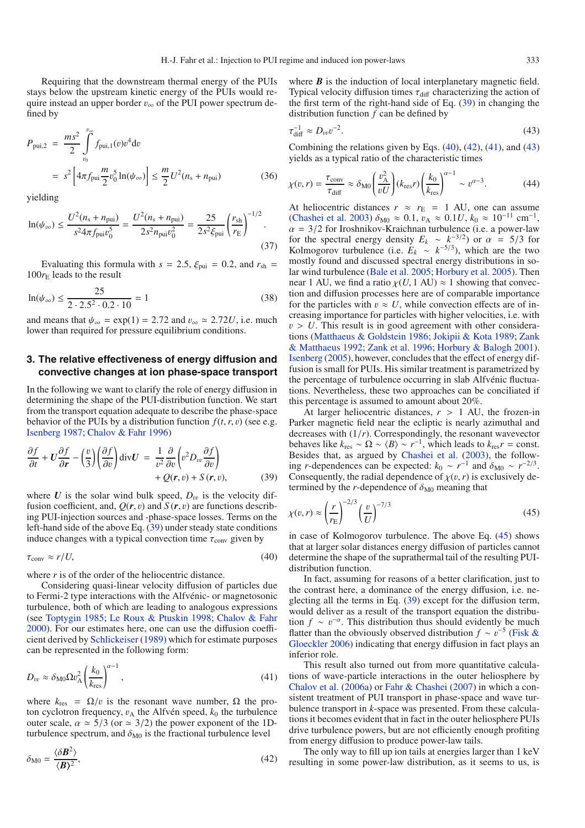Requiring that the downstream thermal energy of the PUIs stays below the upstream kinetic energy of the PUIs would require instead an upper border  $v_{\infty}$  of the PUI power spectrum defined by

$$
P_{\text{pui},2} = \frac{ms^2}{2} \int_{v_0}^{v_{\infty}} f_{\text{pui},1}(v) v^4 dv
$$
  
=  $s^2 \left[ 4\pi f_{\text{pui}} \frac{m}{2} v_0^5 \ln(\psi_{\infty}) \right] \le \frac{m}{2} U^2 (n_s + n_{\text{pui}})$  (36)

yielding

$$
\ln(\psi_{\infty}) \le \frac{U^2(n_s + n_{\text{pui}})}{s^2 4\pi f_{\text{pui}} v_0^5} = \frac{U^2(n_s + n_{\text{pui}})}{2s^2 n_{\text{pui}} v_0^2} = \frac{25}{2s^2 \xi_{\text{pui}}} \left(\frac{r_{\text{sh}}}{r_{\text{E}}}\right)^{-1/2}.
$$
\n(37)

Evaluating this formula with  $s = 2.5$ ,  $\xi_{\text{pui}} = 0.2$ , and  $r_{\text{sh}} =$  $100r_E$  leads to the result

$$
\ln(\psi_{\infty}) \le \frac{25}{2 \cdot 2.5^2 \cdot 0.2 \cdot 10} = 1\tag{38}
$$

and means that  $\psi_{\infty} = \exp(1) = 2.72$  and  $v_{\infty} \approx 2.72U$ , i.e. much lower than required for pressure equilibrium conditions.

# <span id="page-4-0"></span>**3. The relative effectiveness of energy diffusion and convective changes at ion phase-space transport**

<span id="page-4-2"></span>In the following we want to clarify the role of energy diffusion in determining the shape of the PUI-distribution function. We start from the transport equation adequate to describe the phase-space behavior of the PUIs by a distribution function  $f(t, r, v)$  (see e.g. [Isenberg 1987](#page-8-5); [Chalov & Fahr 1996](#page-8-8))

<span id="page-4-1"></span>
$$
\frac{\partial f}{\partial t} + U \frac{\partial f}{\partial r} - \left(\frac{v}{3}\right) \left(\frac{\partial f}{\partial v}\right) \operatorname{div} U = \frac{1}{v^2} \frac{\partial}{\partial v} \left(v^2 D_{vv} \frac{\partial f}{\partial v}\right) + Q(r, v) + S(r, v), \tag{39}
$$

where  $U$  is the solar wind bulk speed,  $D_{vv}$  is the velocity diffusion coefficient, and,  $Q(r, v)$  and  $S(r, v)$  are functions describing PUI-injection sources and -phase-space losses. Terms on the left-hand side of the above Eq. [\(39\)](#page-4-1) under steady state conditions induce changes with a typical convection time  $\tau_{\text{conv}}$  given by

<span id="page-4-4"></span>
$$
\tau_{\rm conv} \approx r/U,\tag{40}
$$

where  $r$  is of the order of the heliocentric distance.

<span id="page-4-3"></span>Considering quasi-linear velocity diffusion of particles due to Fermi-2 type interactions with the Alfvénic- or magnetosonic turbulence, both of which are leading to analogous expressions (see [Toptygin 1985;](#page-8-35) [Le Roux & Ptuskin 1998;](#page-8-36) [Chalov & Fahr](#page-8-37) [2000](#page-8-37)). For our estimates here, one can use the diffusion coefficient derived by [Schlickeiser](#page-8-38) [\(1989](#page-8-38)) which for estimate purposes can be represented in the following form:

$$
D_{vv} \approx \delta_{\rm M0} \Omega v_{\rm A}^2 \left(\frac{k_0}{k_{\rm res}}\right)^{\alpha - 1},\tag{41}
$$

where  $k_{res} = \Omega/v$  is the resonant wave number,  $\Omega$  the proton cyclotron frequency,  $v_A$  the Alfvén speed,  $k_0$  the turbulence outer scale,  $\alpha \approx 5/3$  (or  $\approx 3/2$ ) the power exponent of the 1Dturbulence spectrum, and  $\delta_{\text{M0}}$  is the fractional turbulence level

$$
\delta_{\rm M0} = \frac{\langle \delta \mathbf{B}^2 \rangle}{\langle \mathbf{B} \rangle^2},\tag{42}
$$

<span id="page-4-5"></span>where *B* is the induction of local interplanetary magnetic field. Typical velocity diffusion times  $\tau_{\text{diff}}$  characterizing the action of the first term of the right-hand side of Eq. [\(39\)](#page-4-1) in changing the distribution function *f* can be defined by

$$
\tau_{\text{diff}}^{-1} \approx D_{vv} v^{-2}.\tag{43}
$$

Combining the relations given by Eqs.  $(40)$ ,  $(42)$ ,  $(41)$ , and  $(43)$ yields as a typical ratio of the characteristic times

$$
\chi(v,r) = \frac{\tau_{\text{conv}}}{\tau_{\text{diff}}} \approx \delta_{\text{M0}} \left(\frac{v_{\text{A}}^2}{vU}\right) (k_{\text{res}}r) \left(\frac{k_0}{k_{\text{res}}}\right)^{\alpha - 1} \sim v^{\alpha - 3}.
$$
 (44)

At heliocentric distances  $r \approx r_E = 1$  AU, one can assume [\(Chashei et al. 2003\)](#page-8-20)  $\delta_{\text{M0}} \approx 0.1$ ,  $v_{\text{A}} \approx 0.1 U$ ,  $k_0 \approx 10^{-11}$  cm<sup>-1</sup>,  $\alpha = 3/2$  for Iroshnikov-Kraichnan turbulence (i.e. a power-law for the spectral energy density  $E_k \sim k^{-3/2}$  or  $\alpha = 5/3$  for Kolmogorov turbulence (i.e.  $E_k \sim k^{-5/3}$ ), which are the two mostly found and discussed spectral energy distributions in solar wind turbulence [\(Bale et al. 2005](#page-8-39); [Horbury et al. 2005](#page-8-40)). Then near 1 AU, we find a ratio  $\chi(U, 1 \text{ AU}) \approx 1$  showing that convection and diffusion processes here are of comparable importance for the particles with  $v \approx U$ , while convection effects are of increasing importance for particles with higher velocities, i.e. with  $v > U$ . This result is in good agreement with other considerations [\(Matthaeus & Goldstein 1986;](#page-8-41) [Jokipii & Kota 1989](#page-8-42); Zank & Matthaeus [1992;](#page-8-43) [Zank et al. 1996;](#page-8-44) [Horbury & Balogh 2001](#page-8-45)). [Isenberg](#page-8-46) [\(2005\)](#page-8-46), however, concludes that the effect of energy diffusion is small for PUIs. His similar treatment is parametrized by the percentage of turbulence occurring in slab Alfvénic fluctuations. Nevertheless, these two approaches can be conciliated if this percentage is assumed to amount about 20%.

<span id="page-4-6"></span>At larger heliocentric distances,  $r > 1$  AU, the frozen-in Parker magnetic field near the ecliptic is nearly azimuthal and decreases with (1/*r*). Correspondingly, the resonant wavevector behaves like  $k_{res} \sim \Omega \sim \langle B \rangle \sim r^{-1}$ , which leads to  $k_{res}r = \text{const.}$ Besides that, as argued by [Chashei et al.](#page-8-20) [\(2003\)](#page-8-20), the following *r*-dependences can be expected:  $k_0 \sim r^{-1}$  and  $\delta_{\text{M0}} \sim r^{-2/3}$ . Consequently, the radial dependence of  $\chi(v, r)$  is exclusively determined by the *r*-dependence of  $\delta_{\text{M0}}$  meaning that

$$
\chi(v,r) \approx \left(\frac{r}{r_{\rm E}}\right)^{-2/3} \left(\frac{v}{U}\right)^{-7/3} \tag{45}
$$

in case of Kolmogorov turbulence. The above Eq. [\(45\)](#page-4-6) shows that at larger solar distances energy diffusion of particles cannot determine the shape of the suprathermal tail of the resulting PUIdistribution function.

In fact, assuming for reasons of a better clarification, just to the contrast here, a dominance of the energy diffusion, i.e. neglecting all the terms in Eq. [\(39\)](#page-4-1) except for the diffusion term, would deliver as a result of the transport equation the distribution  $f \sim v^{-\alpha}$ . This distribution thus should evidently be much flatter tha[n the obviously observed distribution](#page-8-24)  $f \sim v^{-5}$  (Fisk & Gloeckler [2006\)](#page-8-24) indicating that energy diffusion in fact plays an inferior role.

This result also turned out from more quantitative calculations of wave-particle interactions in the outer heliosphere by [Chalov et al.](#page-8-47) [\(2006a](#page-8-47)) or [Fahr & Chashei](#page-8-48) [\(2007](#page-8-48)) in which a consistent treatment of PUI transport in phase-space and wave turbulence transport in *k*-space was presented. From these calculations it becomes evident that in fact in the outer heliosphere PUIs drive turbulence powers, but are not efficiently enough profiting from energy diffusion to produce power-law tails.

The only way to fill up ion tails at energies larger than 1 keV resulting in some power-law distribution, as it seems to us, is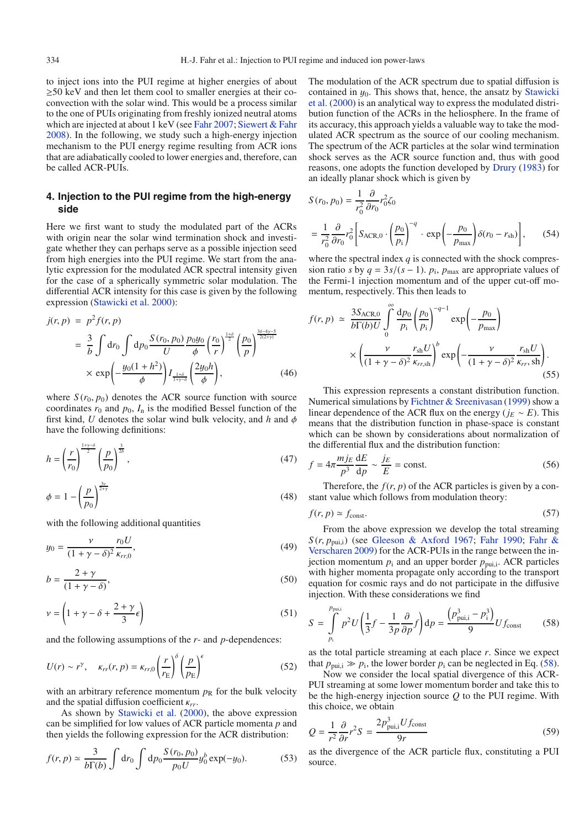to inject ions into the PUI regime at higher energies of about  $\geq$ 50 keV and then let them cool to smaller energies at their coconvection with the solar wind. This would be a process similar to the one of PUIs originating from freshly ionized neutral atoms which are injected at about 1 keV (see [Fahr 2007;](#page-8-29) [Siewert & Fahr](#page-8-49) [2008](#page-8-49)). In the following, we study such a high-energy injection mechanism to the PUI energy regime resulting from ACR ions that are adiabatically cooled to lower energies and, therefore, can be called ACR-PUIs.

## <span id="page-5-0"></span>**4. Injection to the PUI regime from the high-energy side**

Here we first want to study the modulated part of the ACRs with origin near the solar wind termination shock and investigate whether they can perhaps serve as a possible injection seed from high energies into the PUI regime. We start from the analytic expression for the modulated ACR spectral intensity given for the case of a spherically symmetric solar modulation. The differential ACR intensity for this case is given by the following expression [\(Stawicki et al. 2000\)](#page-8-50):

$$
j(r, p) = p^2 f(r, p)
$$
  
=  $\frac{3}{b} \int dr_0 \int dp_0 \frac{S(r_0, p_0)}{U} \frac{p_0 y_0}{\phi} \left(\frac{r_0}{r}\right)^{\frac{1+\delta}{2}} \left(\frac{p_0}{p}\right)^{\frac{3\delta - 4\gamma - 5}{2(2+\gamma)}}$   
 $\times \exp\left(-\frac{y_0(1 + h^2)}{\phi}\right) I_{\frac{1+\delta}{1+\gamma - \delta}} \left(\frac{2y_0 h}{\phi}\right),$  (46)

where  $S(r_0, p_0)$  denotes the ACR source function with source coordinates  $r_0$  and  $p_0$ ,  $I_n$  is the modified Bessel function of the first kind, *U* denotes the solar wind bulk velocity, and *h* and φ have the following definitions:

$$
h = \left(\frac{r}{r_0}\right)^{\frac{1+\gamma-\delta}{2}} \left(\frac{p}{p_0}\right)^{\frac{3}{2b}},\tag{47}
$$

$$
\phi = 1 - \left(\frac{p}{p_0}\right)^{\frac{3\gamma}{2+\gamma}}\tag{48}
$$

with the following additional quantities

$$
y_0 = \frac{\nu}{(1 + \gamma - \delta)^2} \frac{r_0 U}{\kappa_{rr,0}},
$$
\n(49)

$$
b = \frac{2 + \gamma}{(1 + \gamma - \delta)},\tag{50}
$$

$$
\nu = \left(1 + \gamma - \delta + \frac{2 + \gamma}{3}\epsilon\right) \tag{51}
$$

and the following assumptions of the *r*- and *p*-dependences:

$$
U(r) \sim r^{\gamma}, \quad \kappa_{rr}(r, p) = \kappa_{rr,0} \left(\frac{r}{r_{\rm E}}\right)^{\delta} \left(\frac{p}{p_{\rm E}}\right)^{\epsilon} \tag{52}
$$

with an arbitrary reference momentum  $p<sub>R</sub>$  for the bulk velocity and the spatial diffusion coefficient κ*rr*.

As shown by [Stawicki et al.](#page-8-50) [\(2000\)](#page-8-50), the above expression can be simplified for low values of ACR particle momenta *p* and then yields the following expression for the ACR distribution:

$$
f(r, p) \simeq \frac{3}{b\Gamma(b)} \int dr_0 \int dp_0 \frac{S(r_0, p_0)}{p_0 U} y_0^b \exp(-y_0).
$$
 (53)

The modulation of the ACR spectrum due to spatial diffusion is contained in  $y_0$ . This shows that, hence, the ansatz by Stawicki et al. [\(2000\)](#page-8-50) is an analytical way to express the modulated distribution function of the ACRs in the heliosphere. In the frame of its accuracy, this approach yields a valuable way to take the modulated ACR spectrum as the source of our cooling mechanism. The spectrum of the ACR particles at the solar wind termination shock serves as the ACR source function and, thus with good reasons, one adopts the function developed by [Drury](#page-8-51) [\(1983](#page-8-51)) for an ideally planar shock which is given by

$$
S(r_0, p_0) = \frac{1}{r_0^2} \frac{\partial}{\partial r_0} r_0^2 \zeta_0
$$
  
=  $\frac{1}{r_0^2} \frac{\partial}{\partial r_0} r_0^2 \left[ S_{\text{ACR},0} \cdot \left( \frac{p_0}{p_1} \right)^{-q} \cdot \exp\left( -\frac{p_0}{p_{\text{max}}} \right) \delta(r_0 - r_{\text{sh}}) \right],$  (54)

where the spectral index *q* is connected with the shock compression ratio *s* by  $q = 3s/(s - 1)$ .  $p_i$ ,  $p_{max}$  are appropriate values of the Fermi-1 injection momentum and of the upper cut-off momentum, respectively. This then leads to

<span id="page-5-3"></span>
$$
f(r, p) \simeq \frac{3S_{\text{ACR},0}}{b\Gamma(b)U} \int_{0}^{\infty} \frac{dp_0}{p_i} \left(\frac{p_0}{p_i}\right)^{-q-1} \exp\left(-\frac{p_0}{p_{\text{max}}}\right)
$$

$$
\times \left(\frac{\nu}{(1+\gamma-\delta)^2} \frac{r_{\text{sh}}U}{\kappa_{rr,\text{sh}}}\right)^b \exp\left(-\frac{\nu}{(1+\gamma-\delta)^2} \frac{r_{\text{sh}}U}{\kappa_{rr,\text{sh}}}\right). \tag{55}
$$

This expression represents a constant distribution function. Numerical simulations by [Fichtner & Sreenivasan](#page-8-52) [\(1999](#page-8-52)) show a linear dependence of the ACR flux on the energy ( $j_E \sim E$ ). This means that the distribution function in phase-space is constant which can be shown by considerations about normalization of the differential flux and the distribution function:

<span id="page-5-1"></span>
$$
f = 4\pi \frac{m j_E}{p^3} \frac{dE}{dp} \sim \frac{j_E}{E} = \text{const.}
$$
 (56)

Therefore, the  $f(r, p)$  of the ACR particles is given by a constant value which follows from modulation theory:

$$
f(r, p) \simeq f_{\text{const}}.\tag{57}
$$

From the above expression we develop the total streaming  $S(r, p_{\text{pui},i})$  (see [Gleeson & Axford 1967](#page-8-53)[;](#page-8-55) [Fahr 1990](#page-8-54); Fahr & Verscharen [2009](#page-8-55)) for the ACR-PUIs in the range between the injection momentum  $p_i$  and an upper border  $p_{\text{pui},i}$ . ACR particles with higher momenta propagate only according to the transport equation for cosmic rays and do not participate in the diffusive injection. With these considerations we find

<span id="page-5-2"></span>
$$
S = \int_{p_i}^{p_{\text{pui,i}}} p^2 U\left(\frac{1}{3}f - \frac{1}{3p}\frac{\partial}{\partial p}f\right) \mathrm{d}p = \frac{\left(p_{\text{pui,i}}^3 - p_i^3\right)}{9} U f_{\text{const}} \tag{58}
$$

as the total particle streaming at each place *r*. Since we expect that  $p_{\text{nu,i}} \gg p_i$ , the lower border  $p_i$  can be neglected in Eq. [\(58\)](#page-5-1).

Now we consider the local spatial divergence of this ACR-PUI streaming at some lower momentum border and take this to be the high-energy injection source *Q* to the PUI regime. With this choice, we obtain

$$
Q = \frac{1}{r^2} \frac{\partial}{\partial r} r^2 S = \frac{2p_{\text{pui,i}}^3 U f_{\text{const}}}{9r}
$$
(59)

as the divergence of the ACR particle flux, constituting a PUI source.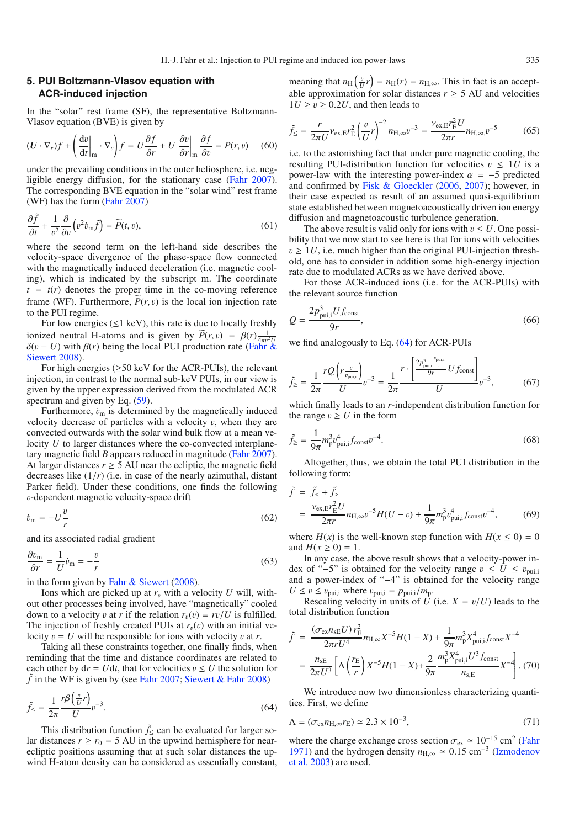# <span id="page-6-0"></span>**5. PUI Boltzmann-Vlasov equation with ACR-induced injection**

In the "solar" rest frame (SF), the representative Boltzmann-Vlasov equation (BVE) is given by

$$
(\mathbf{U} \cdot \nabla_r) f + \left(\frac{\mathrm{d}v}{\mathrm{d}t}\bigg|_{\mathbf{m}} \cdot \nabla_v \right) f = U \frac{\partial f}{\partial r} + U \frac{\partial v}{\partial r}\bigg|_{\mathbf{m}} \frac{\partial f}{\partial v} = P(r, v) \quad (60)
$$

under the prevailing conditions in the outer heliosphere, i.e. negligible energy diffusion, for the stationary case [\(Fahr 2007](#page-8-29)). The corresponding BVE equation in the "solar wind" rest frame (WF) has the form [\(Fahr 2007\)](#page-8-29)

$$
\frac{\partial \tilde{f}}{\partial t} + \frac{1}{v^2} \frac{\partial}{\partial v} \left( v^2 \dot{v}_{\rm m} \tilde{f} \right) = \widetilde{P}(t, v),\tag{61}
$$

where the second term on the left-hand side describes the velocity-space divergence of the phase-space flow connected with the magnetically induced deceleration (i.e. magnetic cooling), which is indicated by the subscript m. The coordinate  $t = t(r)$  denotes the proper time in the co-moving reference frame (WF). Furthermore,  $P(r, v)$  is the local ion injection rate to the PUI regime.

For low energies  $(\leq 1 \text{ keV})$ , this rate is due to locally freshly ionized neutral H-atoms and is given by  $\widetilde{P}(r, v) = \beta(r) \frac{1}{4\pi v^2}$  $\delta(v - U)$  $\delta(v - U)$  with  $\beta(r)$  $\beta(r)$  $\beta(r)$  [being](#page-8-56) [the](#page-8-56) [local](#page-8-56) [PUI](#page-8-56) [production](#page-8-56) [rate](#page-8-56) (Fahr & Siewert [2008](#page-8-56)).

For high energies  $(\geq 50 \text{ keV}$  for the ACR-PUIs), the relevant injection, in contrast to the normal sub-keV PUIs, in our view is given by the upper expression derived from the modulated ACR spectrum and given by Eq.  $(59)$ .

Furthermore,  $\dot{v}_{\rm m}$  is determined by the magnetically induced velocity decrease of particles with a velocity  $v$ , when they are convected outwards with the solar wind bulk flow at a mean velocity *U* to larger distances where the co-convected interplanetary magnetic field *B* appears reduced in magnitude [\(Fahr 2007](#page-8-29)). At larger distances  $r \geq 5$  AU near the ecliptic, the magnetic field decreases like  $(1/r)$  (i.e. in case of the nearly azimuthal, distant Parker field). Under these conditions, one finds the following v-dependent magnetic velocity-space drift

$$
\dot{v}_{\rm m} = -U\frac{v}{r} \tag{62}
$$

and its associated radial gradient

<span id="page-6-1"></span>
$$
\frac{\partial v_{\rm m}}{\partial r} = \frac{1}{U} \dot{v}_{\rm m} = -\frac{v}{r}
$$
\n(63)

in the form given by [Fahr & Siewert](#page-8-56) [\(2008\)](#page-8-56).

Ions which are picked up at  $r<sub>v</sub>$  with a velocity *U* will, without other processes being involved, have "magnetically" cooled down to a velocity v at r if the relation  $r_v(v) = rv/U$  is fulfilled. The injection of freshly created PUIs at  $r<sub>v</sub>(v)$  with an initial velocity  $v = U$  will be responsible for ions with velocity v at r.

Taking all these constraints together, one finally finds, when reminding that the time and distance coordinates are related to each other by  $dr = Udt$ , that for velocities  $v \leq U$  the solution for  $\tilde{f}$  in the WF is given by (see [Fahr 2007;](#page-8-29) [Siewert & Fahr 2008\)](#page-8-49)

$$
\tilde{f}_{\leq} = \frac{1}{2\pi} \frac{r\beta \left(\frac{v}{U}r\right)}{U} v^{-3}.
$$
\n(64)

This distribution function  $\tilde{f}_\leq$  can be evaluated for larger solar distances  $r \ge r_0 = 5$  AU in the upwind hemisphere for nearecliptic positions assuming that at such solar distances the upwind H-atom density can be considered as essentially constant, meaning that  $n_H\left(\frac{v}{U}r\right) = n_H(r) = n_{H,\infty}$ . This in fact is an acceptable approximation for solar distances  $r \geq 5$  AU and velocities  $1U \ge v \ge 0.2U$ , and then leads to

$$
\tilde{f}_{\leq} = \frac{r}{2\pi U} \nu_{\text{ex},E} r_{\text{E}}^2 \left(\frac{v}{U} r\right)^{-2} n_{\text{H},\infty} v^{-3} = \frac{\nu_{\text{ex},E} r_{\text{E}}^2 U}{2\pi r} n_{\text{H},\infty} v^{-5}
$$
(65)

i.e. to the astonishing fact that under pure magnetic cooling, the resulting PUI-distribution function for velocities  $v \leq 1$ *U* is a power-law with the interesting power-index  $\alpha = -5$  predicted and confirmed by [Fisk & Gloeckler](#page-8-24) [\(2006,](#page-8-24) [2007\)](#page-8-25); however, in their case expected as result of an assumed quasi-equilibrium state established between magnetoacoustically driven ion energy diffusion and magnetoacoustic turbulence generation.

The above result is valid only for ions with  $v \leq U$ . One possibility that we now start to see here is that for ions with velocities  $v \geq 1$ *U*, i.e. much higher than the original PUI-injection threshold, one has to consider in addition some high-energy injection rate due to modulated ACRs as we have derived above.

For those ACR-induced ions (i.e. for the ACR-PUIs) with the relevant source function

$$
Q = \frac{2p_{\text{pui},i}^3 U f_{\text{const}}}{9r},\tag{66}
$$

we find analogously to Eq. [\(64\)](#page-6-1) for ACR-PUIs

$$
\tilde{f}_{\geq} = \frac{1}{2\pi} \frac{r \mathcal{Q}\left(r \frac{v}{v_{\text{pui,i}}}\right)}{U} v^{-3} = \frac{1}{2\pi} \frac{r \cdot \left[\frac{2p_{\text{pui,i}}^3}{9r} U f_{\text{const}}\right]}{U} v^{-3},\tag{67}
$$

which finally leads to an *r*-independent distribution function for the range  $v \geq U$  in the form

$$
\tilde{f}_{\geq} = \frac{1}{9\pi} m_p^3 v_{\text{pui},i}^4 f_{\text{const}} v^{-4}.
$$
\n(68)

Altogether, thus, we obtain the total PUI distribution in the following form:

$$
\tilde{f} = \tilde{f}_{\leq} + \tilde{f}_{\geq} \\
= \frac{\nu_{\text{ex}, \text{E}} r_{\text{E}}^2 U}{2\pi r} n_{\text{H}, \infty} v^{-5} H(U - v) + \frac{1}{9\pi} m_p^3 v_{\text{pui}, j}^4 f_{\text{const}} v^{-4}, \tag{69}
$$

where  $H(x)$  is the well-known step function with  $H(x \le 0) = 0$ and  $H(x \ge 0) = 1$ .

In any case, the above result shows that a velocity-power index of "−5" is obtained for the velocity range  $v \leq U \leq v_{\text{pui},i}$ and a power-index of "−4" is obtained for the velocity range  $U \le v \le v_{\text{pui,i}}$  where  $v_{\text{pui,i}} = p_{\text{pui,i}}/m_{\text{p}}$ .

Rescaling velocity in units of *U* (i.e.  $X = v/U$ ) leads to the total distribution function

$$
\tilde{f} = \frac{(\sigma_{\text{ex}} n_{\text{se}} U) r_{\text{E}}^2}{2\pi r U^4} n_{\text{H},\infty} X^{-5} H (1 - X) + \frac{1}{9\pi} m_{\text{p}}^3 X_{\text{pui},j}^4 f_{\text{const}} X^{-4}
$$

$$
= \frac{n_{\text{se}}}{2\pi U^3} \left[ \Lambda \left( \frac{r_{\text{E}}}{r} \right) X^{-5} H (1 - X) + \frac{2}{9\pi} \frac{m_{\text{p}}^3 X_{\text{pui},j}^4 U^3 f_{\text{const}}}{n_{\text{s},\text{E}}} X^{-4} \right]. (70)
$$

We introduce now two dimensionless characterizing quantities. First, we define

$$
\Lambda = (\sigma_{\text{ex}} n_{\text{H},\infty} r_{\text{E}}) \simeq 2.3 \times 10^{-3},\tag{71}
$$

where the charge exchange cross section  $\sigma_{ex} \simeq 10^{-15}$  cm<sup>2</sup> [\(Fahr](#page-8-31) [1971](#page-8-31)[\) and the hydrogen density](#page-8-57)  $n_{\text{H},\infty} \approx 0.15 \text{ cm}^{-3}$  (Izmodenov et al. [2003](#page-8-57)) are used.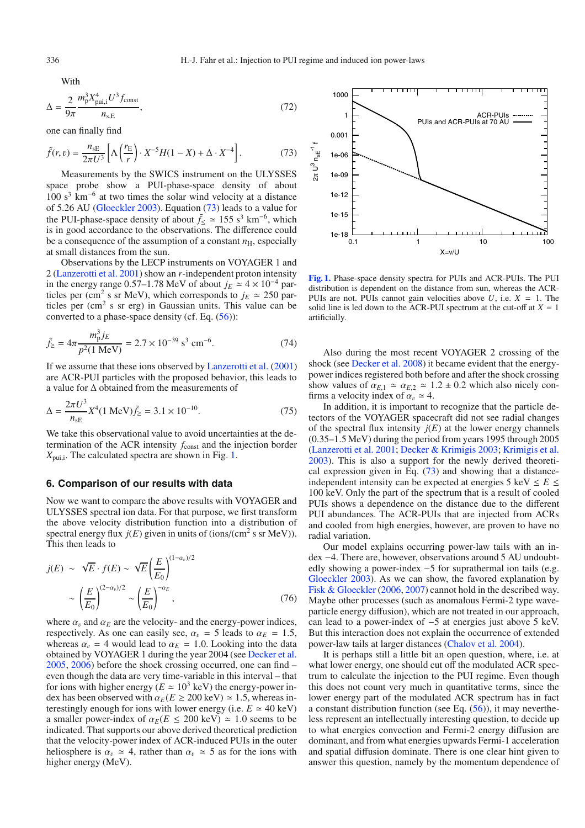With

$$
\Delta = \frac{2}{9\pi} \frac{m_{\rm p}^3 X_{\rm pui,i}^4 U^3 f_{\rm const}}{n_{\rm s,E}},\tag{72}
$$

one can finally find

$$
\tilde{f}(r,v) = \frac{n_{\text{SE}}}{2\pi U^3} \left[ \Lambda \left( \frac{r_{\text{E}}}{r} \right) \cdot X^{-5} H (1 - X) + \Delta \cdot X^{-4} \right]. \tag{73}
$$

Measurements by the SWICS instrument on the ULYSSES space probe show a PUI-phase-space density of about  $100 s<sup>3</sup>$  km<sup>-6</sup> at two times the solar wind velocity at a distance of 5.26 AU [\(Gloeckler 2003\)](#page-8-58). Equation [\(73\)](#page-7-1) leads to a value for the PUI-phase-space density of about  $\tilde{f}_\leq \approx 155 \text{ s}^3 \text{ km}^{-6}$ , which is in good accordance to the observations. The difference could be a consequence of the assumption of a constant  $n<sub>H</sub>$ , especially at small distances from the sun.

Observations by the LECP instruments on VOYAGER 1 and 2 [\(Lanzerotti et al. 2001\)](#page-8-59) show an *r*-independent proton intensity in the energy range 0.57–1.78 MeV of about  $j_E$   $\simeq$  4 × 10<sup>-4</sup> particles per (cm<sup>2</sup> s sr MeV), which corresponds to  $j_E \approx 250$  particles per  $(cm<sup>2</sup> s sr erg)$  in Gaussian units. This value can be converted to a phase-space density (cf. Eq. [\(56\)](#page-5-3)):

$$
\tilde{f}_{\ge} = 4\pi \frac{m_{\rm p}^3 j_E}{p^2 (1 \text{ MeV})} = 2.7 \times 10^{-39} \text{ s}^3 \text{ cm}^{-6}.
$$
\n(74)

If we assume that these ions observed by [Lanzerotti et al.](#page-8-59) [\(2001\)](#page-8-59) are ACR-PUI particles with the proposed behavior, this leads to a value for Δ obtained from the measurements of

$$
\Delta = \frac{2\pi U^3}{n_{\rm sE}} X^4 (1 \text{ MeV}) \tilde{f}_\geq = 3.1 \times 10^{-10}.
$$
 (75)

We take this observational value to avoid uncertainties at the determination of the ACR intensity  $f_{\text{const}}$  and the injection border *X*pui,i. The calculated spectra are shown in Fig. [1.](#page-7-2)

#### <span id="page-7-0"></span>**6. Comparison of our results with data**

Now we want to compare the above results with VOYAGER and ULYSSES spectral ion data. For that purpose, we first transform the above velocity distribution function into a distribution of spectral energy flux  $j(E)$  given in units of (ions/(cm<sup>2</sup> s sr MeV)). This then leads to

$$
j(E) \sim \sqrt{E} \cdot f(E) \sim \sqrt{E} \left(\frac{E}{E_0}\right)^{(1-\alpha_v)/2}
$$

$$
\sim \left(\frac{E}{E_0}\right)^{(2-\alpha_v)/2} \sim \left(\frac{E}{E_0}\right)^{-\alpha_E},\tag{76}
$$

where  $\alpha_v$  and  $\alpha_E$  are the velocity- and the energy-power indices, respectively. As one can easily see,  $\alpha_v = 5$  leads to  $\alpha_E = 1.5$ , whereas  $\alpha_v = 4$  would lead to  $\alpha_E = 1.0$ . Looking into the data obtained by VOYAGER 1 during the year 2004 (see [Decker et al.](#page-8-27) [2005](#page-8-27), [2006\)](#page-8-60) before the shock crossing occurred, one can find – even though the data are very time-variable in this interval – that for ions with higher energy ( $E \approx 10^3$  keV) the energy-power index has been observed with  $\alpha_E(E \ge 200 \text{ keV}) \approx 1.5$ , whereas interestingly enough for ions with lower energy (i.e.  $E \approx 40 \text{ keV}$ ) a smaller power-index of  $\alpha_E(E \leq 200 \text{ keV}) \approx 1.0 \text{ seems to be}$ indicated. That supports our above derived theoretical prediction that the velocity-power index of ACR-induced PUIs in the outer heliosphere is  $\alpha_v \approx 4$ , rather than  $\alpha_v \approx 5$  as for the ions with higher energy (MeV).

<span id="page-7-2"></span>

**[Fig. 1.](http://dexter.edpsciences.org/applet.php?DOI=10.1051/0004-6361/200810755&pdf_id=1)** Phase-space density spectra for PUIs and ACR-PUIs. The PUI distribution is dependent on the distance from sun, whereas the ACR-PUIs are not. PUIs cannot gain velocities above  $U$ , i.e.  $X = 1$ . The solid line is led down to the ACR-PUI spectrum at the cut-off at  $X = 1$ artificially.

Also during the most recent VOYAGER 2 crossing of the shock (see [Decker et al. 2008\)](#page-8-61) it became evident that the energypower indices registered both before and after the shock crossing show values of  $\alpha_{E,1} \simeq \alpha_{E,2} \simeq 1.2 \pm 0.2$  which also nicely confirms a velocity index of  $\alpha_v \simeq 4$ .

In addition, it is important to recognize that the particle detectors of the VOYAGER spacecraft did not see radial changes of the spectral flux intensity  $j(E)$  at the lower energy channels (0.35–1.5 MeV) during the period from years 1995 through 2005 [\(Lanzerotti et al. 2001](#page-8-59); [Decker & Krimigis 2003;](#page-8-62) [Krimigis et al.](#page-8-63) [2003\)](#page-8-63). This is also a support for the newly derived theoretical expression given in Eq. [\(73\)](#page-7-1) and showing that a distanceindependent intensity can be expected at energies 5 keV  $\leq E \leq$ 100 keV. Only the part of the spectrum that is a result of cooled PUIs shows a dependence on the distance due to the different PUI abundances. The ACR-PUIs that are injected from ACRs and cooled from high energies, however, are proven to have no radial variation.

Our model explains occurring power-law tails with an index −4. There are, however, observations around 5 AU undoubtedly showing a power-index −5 for suprathermal ion tails (e.g. [Gloeckler 2003\)](#page-8-58). As we can show, the favored explanation by [Fisk & Gloeckler](#page-8-24) [\(2006,](#page-8-24) [2007](#page-8-25)) cannot hold in the described way. Maybe other processes (such as anomalous Fermi-2 type waveparticle energy diffusion), which are not treated in our approach, can lead to a power-index of −5 at energies just above 5 keV. But this interaction does not explain the occurrence of extended power-law tails at larger distances [\(Chalov et al. 2004](#page-8-11)).

It is perhaps still a little bit an open question, where, i.e. at what lower energy, one should cut off the modulated ACR spectrum to calculate the injection to the PUI regime. Even though this does not count very much in quantitative terms, since the lower energy part of the modulated ACR spectrum has in fact a constant distribution function (see Eq.  $(56)$ ), it may nevertheless represent an intellectually interesting question, to decide up to what energies convection and Fermi-2 energy diffusion are dominant, and from what energies upwards Fermi-1 acceleration and spatial diffusion dominate. There is one clear hint given to answer this question, namely by the momentum dependence of

<span id="page-7-1"></span>